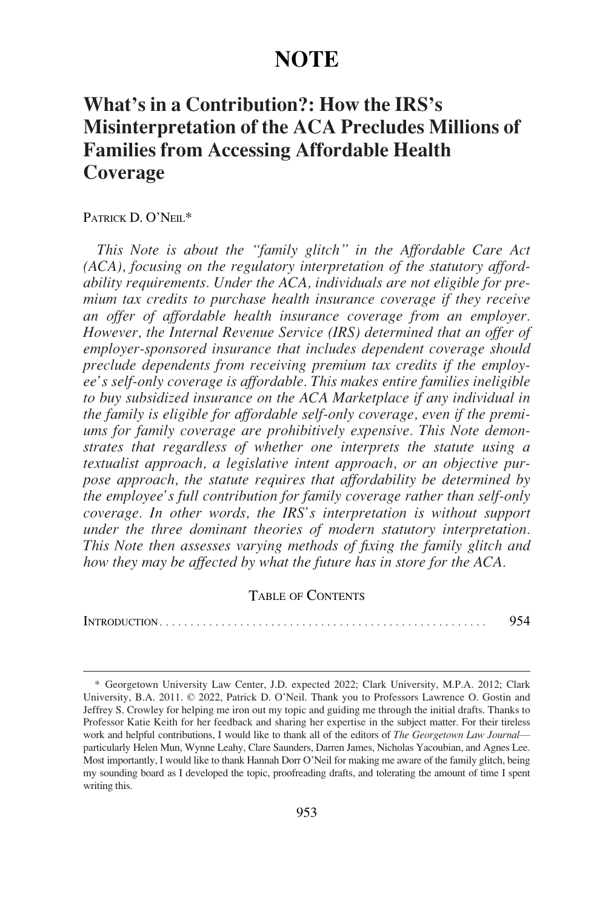# **NOTE**

# **What's in a Contribution?: How the IRS's Misinterpretation of the ACA Precludes Millions of Families from Accessing Affordable Health Coverage**

## PATRICK D. O'NEIL\*

*This Note is about the "family glitch" in the Affordable Care Act (ACA), focusing on the regulatory interpretation of the statutory affordability requirements. Under the ACA, individuals are not eligible for premium tax credits to purchase health insurance coverage if they receive an offer of affordable health insurance coverage from an employer. However, the Internal Revenue Service (IRS) determined that an offer of employer-sponsored insurance that includes dependent coverage should preclude dependents from receiving premium tax credits if the employee's self-only coverage is affordable. This makes entire families ineligible to buy subsidized insurance on the ACA Marketplace if any individual in the family is eligible for affordable self-only coverage, even if the premiums for family coverage are prohibitively expensive. This Note demonstrates that regardless of whether one interprets the statute using a textualist approach, a legislative intent approach, or an objective purpose approach, the statute requires that affordability be determined by the employee's full contribution for family coverage rather than self-only coverage. In other words, the IRS's interpretation is without support under the three dominant theories of modern statutory interpretation. This Note then assesses varying methods of fixing the family glitch and how they may be affected by what the future has in store for the ACA.* 

## TABLE OF CONTENTS

INTRODUCTION [. . . . . . . . . . . . . . . . . . . . . . . . . . . . . . . . . . . . . . . . . . . . . . . . . . . . .](#page-1-0) 954

<sup>\*</sup> Georgetown University Law Center, J.D. expected 2022; Clark University, M.P.A. 2012; Clark University, B.A. 2011. © 2022, Patrick D. O'Neil. Thank you to Professors Lawrence O. Gostin and Jeffrey S. Crowley for helping me iron out my topic and guiding me through the initial drafts. Thanks to Professor Katie Keith for her feedback and sharing her expertise in the subject matter. For their tireless work and helpful contributions, I would like to thank all of the editors of *The Georgetown Law Journal* particularly Helen Mun, Wynne Leahy, Clare Saunders, Darren James, Nicholas Yacoubian, and Agnes Lee. Most importantly, I would like to thank Hannah Dorr O'Neil for making me aware of the family glitch, being my sounding board as I developed the topic, proofreading drafts, and tolerating the amount of time I spent writing this.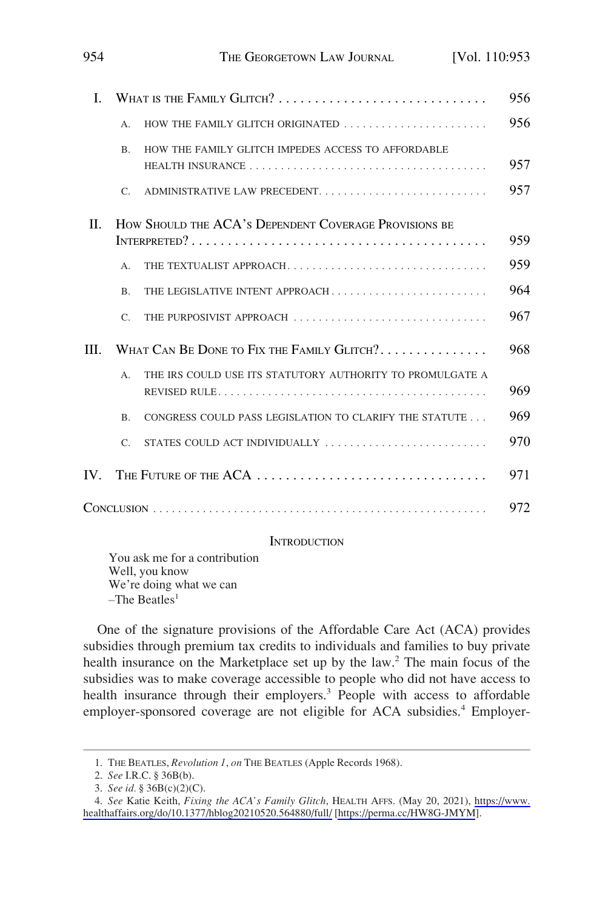| L  | WHAT IS THE FAMILY GLITCH?                            |                                                           | 956 |
|----|-------------------------------------------------------|-----------------------------------------------------------|-----|
|    | А.                                                    | HOW THE FAMILY GLITCH ORIGINATED                          | 956 |
|    | B <sub>r</sub>                                        | HOW THE FAMILY GLITCH IMPEDES ACCESS TO AFFORDABLE        | 957 |
|    | $C_{\cdot}$                                           | ADMINISTRATIVE LAW PRECEDENT                              | 957 |
| H. | HOW SHOULD THE ACA's DEPENDENT COVERAGE PROVISIONS BE |                                                           |     |
|    |                                                       |                                                           | 959 |
|    | $\mathsf{A}$ .                                        | THE TEXTUALIST APPROACH                                   | 959 |
|    | $\mathbf{B}$                                          | THE LEGISLATIVE INTENT APPROACH                           | 964 |
|    | $\mathcal{C}$                                         | THE PURPOSIVIST APPROACH                                  | 967 |
| Ш  |                                                       | WHAT CAN BE DONE TO FIX THE FAMILY GLITCH?                | 968 |
|    | $A_{\cdot}$                                           | THE IRS COULD USE ITS STATUTORY AUTHORITY TO PROMULGATE A | 969 |
|    | B.                                                    | CONGRESS COULD PASS LEGISLATION TO CLARIFY THE STATUTE    | 969 |
|    | $\mathcal{C}$                                         | STATES COULD ACT INDIVIDUALLY                             | 970 |
| IV |                                                       | The Future of the $ACA$                                   | 971 |

<span id="page-1-0"></span>954 THE GEORGETOWN LAW JOURNAL [Vol. 110:953

THE FUTURE OF THE  $\text{ACA} \dots \dots \dots \dots \dots \dots \dots \dots \dots \dots \dots \dots \dots \dots$ CONCLUSION [. . . . . . . . . . . . . . . . . . . . . . . . . . . . . . . . . . . . . . . . . . . . . . . . . . . . . .](#page-19-0) 972

## **INTRODUCTION**

You ask me for a contribution Well, you know We're doing what we can  $-$ The Beatles<sup>1</sup>

One of the signature provisions of the Affordable Care Act (ACA) provides subsidies through premium tax credits to individuals and families to buy private health insurance on the Marketplace set up by the law.<sup>2</sup> The main focus of the subsidies was to make coverage accessible to people who did not have access to health insurance through their employers.<sup>3</sup> People with access to affordable employer-sponsored coverage are not eligible for ACA subsidies.<sup>4</sup> Employer-

<sup>1.</sup> THE BEATLES, *Revolution 1*, *on* THE BEATLES (Apple Records 1968).

<sup>2.</sup> *See* I.R.C. § 36B(b).

<sup>3.</sup> *See id.* § 36B(c)(2)(C).

*See* Katie Keith, *Fixing the ACA's Family Glitch*, HEALTH AFFS. (May 20, 2021), [https://www.](https://www.healthaffairs.org/do/10.1377/hblog20210520.564880/full/)  4. [healthaffairs.org/do/10.1377/hblog20210520.564880/full/](https://www.healthaffairs.org/do/10.1377/hblog20210520.564880/full/) [[https://perma.cc/HW8G-JMYM\]](https://perma.cc/HW8G-JMYM).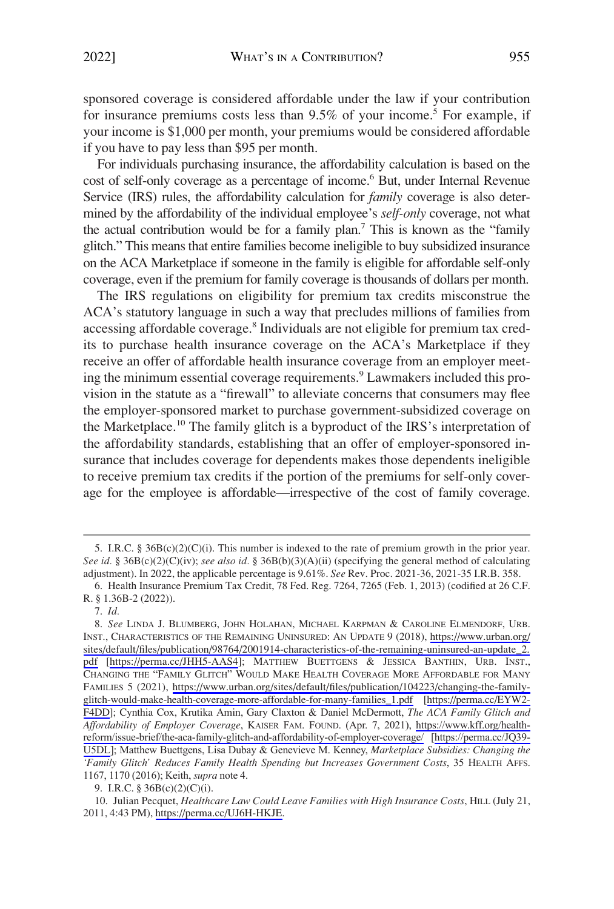sponsored coverage is considered affordable under the law if your contribution for insurance premiums costs less than  $9.5\%$  of your income.<sup>5</sup> For example, if your income is \$1,000 per month, your premiums would be considered affordable if you have to pay less than \$95 per month.

For individuals purchasing insurance, the affordability calculation is based on the cost of self-only coverage as a percentage of income.<sup>6</sup> But, under Internal Revenue Service (IRS) rules, the affordability calculation for *family* coverage is also determined by the affordability of the individual employee's *self-only* coverage, not what the actual contribution would be for a family plan.7 This is known as the "family glitch." This means that entire families become ineligible to buy subsidized insurance on the ACA Marketplace if someone in the family is eligible for affordable self-only coverage, even if the premium for family coverage is thousands of dollars per month.

The IRS regulations on eligibility for premium tax credits misconstrue the ACA's statutory language in such a way that precludes millions of families from accessing affordable coverage.<sup>8</sup> Individuals are not eligible for premium tax credits to purchase health insurance coverage on the ACA's Marketplace if they receive an offer of affordable health insurance coverage from an employer meeting the minimum essential coverage requirements.<sup>9</sup> Lawmakers included this provision in the statute as a "firewall" to alleviate concerns that consumers may flee the employer-sponsored market to purchase government-subsidized coverage on the Marketplace.<sup>10</sup> The family glitch is a byproduct of the IRS's interpretation of the affordability standards, establishing that an offer of employer-sponsored insurance that includes coverage for dependents makes those dependents ineligible to receive premium tax credits if the portion of the premiums for self-only coverage for the employee is affordable—irrespective of the cost of family coverage.

<sup>5.</sup> I.R.C. § 36B(c)(2)(C)(i). This number is indexed to the rate of premium growth in the prior year. *See id.* § 36B(c)(2)(C)(iv); *see also id.* § 36B(b)(3)(A)(ii) (specifying the general method of calculating adjustment). In 2022, the applicable percentage is 9.61%. *See* Rev. Proc. 2021-36, 2021-35 I.R.B. 358.

<sup>6.</sup> Health Insurance Premium Tax Credit, 78 Fed. Reg. 7264, 7265 (Feb. 1, 2013) (codified at 26 C.F. R. § 1.36B-2 (2022)).

<sup>7.</sup> *Id.* 

*See* LINDA J. BLUMBERG, JOHN HOLAHAN, MICHAEL KARPMAN & CAROLINE ELMENDORF, URB. 8. INST., CHARACTERISTICS OF THE REMAINING UNINSURED: AN UPDATE 9 (2018), [https://www.urban.org/](https://www.urban.org/sites/default/files/publication/98764/2001914-characteristics-of-the-remaining-uninsured-an-update_2.pdf)  [sites/default/files/publication/98764/2001914-characteristics-of-the-remaining-uninsured-an-update\\_2.](https://www.urban.org/sites/default/files/publication/98764/2001914-characteristics-of-the-remaining-uninsured-an-update_2.pdf)  [pdf](https://www.urban.org/sites/default/files/publication/98764/2001914-characteristics-of-the-remaining-uninsured-an-update_2.pdf) [[https://perma.cc/JHH5-AAS4\]](https://perma.cc/JHH5-AAS4); MATTHEW BUETTGENS & JESSICA BANTHIN, URB. INST., CHANGING THE "FAMILY GLITCH" WOULD MAKE HEALTH COVERAGE MORE AFFORDABLE FOR MANY FAMILIES 5 (2021), [https://www.urban.org/sites/default/files/publication/104223/changing-the-family](https://www.urban.org/sites/default/files/publication/104223/changing-the-family-glitch-would-make-health-coverage-more-affordable-for-many-families_1.pdf)[glitch-would-make-health-coverage-more-affordable-for-many-families\\_1.pdf](https://www.urban.org/sites/default/files/publication/104223/changing-the-family-glitch-would-make-health-coverage-more-affordable-for-many-families_1.pdf) [\[https://perma.cc/EYW2-](https://perma.cc/EYW2-F4DD)  [F4DD\]](https://perma.cc/EYW2-F4DD); Cynthia Cox, Krutika Amin, Gary Claxton & Daniel McDermott, *The ACA Family Glitch and Affordability of Employer Coverage*, KAISER FAM. FOUND. (Apr. 7, 2021), [https://www.kff.org/health](https://www.kff.org/health-reform/issue-brief/the-aca-family-glitch-and-affordability-of-employer-coverage/)[reform/issue-brief/the-aca-family-glitch-and-affordability-of-employer-coverage/](https://www.kff.org/health-reform/issue-brief/the-aca-family-glitch-and-affordability-of-employer-coverage/) [\[https://perma.cc/JQ39-](https://perma.cc/JQ39-U5DL)  [U5DL](https://perma.cc/JQ39-U5DL)]; Matthew Buettgens, Lisa Dubay & Genevieve M. Kenney, *Marketplace Subsidies: Changing the 'Family Glitch' Reduces Family Health Spending but Increases Government Costs*, 35 HEALTH AFFS. 1167, 1170 (2016); Keith, *supra* note 4.

<sup>9.</sup> I.R.C. § 36B(c)(2)(C)(i).

<sup>10.</sup> Julian Pecquet, *Healthcare Law Could Leave Families with High Insurance Costs*, HILL (July 21, 2011, 4:43 PM), [https://perma.cc/UJ6H-HKJE.](https://perma.cc/UJ6H-HKJE)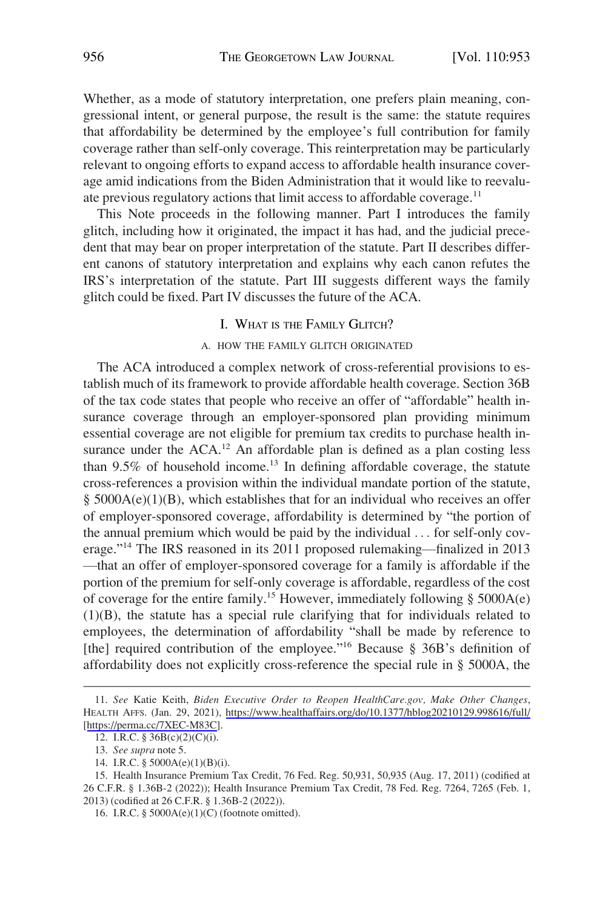<span id="page-3-0"></span>Whether, as a mode of statutory interpretation, one prefers plain meaning, congressional intent, or general purpose, the result is the same: the statute requires that affordability be determined by the employee's full contribution for family coverage rather than self-only coverage. This reinterpretation may be particularly relevant to ongoing efforts to expand access to affordable health insurance coverage amid indications from the Biden Administration that it would like to reevaluate previous regulatory actions that limit access to affordable coverage.<sup>11</sup>

This Note proceeds in the following manner. Part I introduces the family glitch, including how it originated, the impact it has had, and the judicial precedent that may bear on proper interpretation of the statute. Part II describes different canons of statutory interpretation and explains why each canon refutes the IRS's interpretation of the statute. Part III suggests different ways the family glitch could be fixed. Part IV discusses the future of the ACA.

## I. WHAT IS THE FAMILY GLITCH?

#### A. HOW THE FAMILY GLITCH ORIGINATED

The ACA introduced a complex network of cross-referential provisions to establish much of its framework to provide affordable health coverage. Section 36B of the tax code states that people who receive an offer of "affordable" health insurance coverage through an employer-sponsored plan providing minimum essential coverage are not eligible for premium tax credits to purchase health insurance under the  $ACA$ .<sup>12</sup> An affordable plan is defined as a plan costing less than  $9.5\%$  of household income.<sup>13</sup> In defining affordable coverage, the statute cross-references a provision within the individual mandate portion of the statute, § 5000A(e)(1)(B), which establishes that for an individual who receives an offer of employer-sponsored coverage, affordability is determined by "the portion of the annual premium which would be paid by the individual . . . for self-only coverage."14 The IRS reasoned in its 2011 proposed rulemaking—finalized in 2013 —that an offer of employer-sponsored coverage for a family is affordable if the portion of the premium for self-only coverage is affordable, regardless of the cost of coverage for the entire family.<sup>15</sup> However, immediately following  $\S$  5000A(e) (1)(B), the statute has a special rule clarifying that for individuals related to employees, the determination of affordability "shall be made by reference to [the] required contribution of the employee."<sup>16</sup> Because § 36B's definition of affordability does not explicitly cross-reference the special rule in § 5000A, the

*See* Katie Keith, *Biden Executive Order to Reopen HealthCare.gov, Make Other Changes*, 11. HEALTH AFFS. (Jan. 29, 2021), <https://www.healthaffairs.org/do/10.1377/hblog20210129.998616/full/> [[https://perma.cc/7XEC-M83C\]](https://perma.cc/7XEC-M83C).

<sup>12.</sup> I.R.C. § 36B(c)(2)(C)(i).

<sup>13.</sup> *See supra* note 5.

<sup>14.</sup> I.R.C. § 5000A(e)(1)(B)(i).

<sup>15.</sup> Health Insurance Premium Tax Credit, 76 Fed. Reg. 50,931, 50,935 (Aug. 17, 2011) (codified at 26 C.F.R. § 1.36B-2 (2022)); Health Insurance Premium Tax Credit, 78 Fed. Reg. 7264, 7265 (Feb. 1, 2013) (codified at 26 C.F.R. § 1.36B-2 (2022)).

<sup>16.</sup> I.R.C. § 5000A(e)(1)(C) (footnote omitted).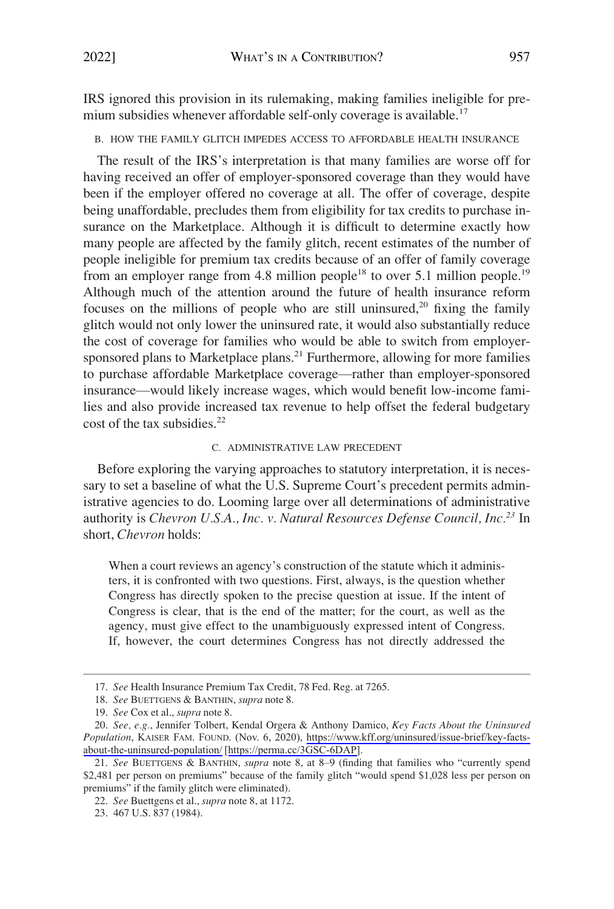<span id="page-4-0"></span>IRS ignored this provision in its rulemaking, making families ineligible for premium subsidies whenever affordable self-only coverage is available.<sup>17</sup>

B. HOW THE FAMILY GLITCH IMPEDES ACCESS TO AFFORDABLE HEALTH INSURANCE

The result of the IRS's interpretation is that many families are worse off for having received an offer of employer-sponsored coverage than they would have been if the employer offered no coverage at all. The offer of coverage, despite being unaffordable, precludes them from eligibility for tax credits to purchase insurance on the Marketplace. Although it is difficult to determine exactly how many people are affected by the family glitch, recent estimates of the number of people ineligible for premium tax credits because of an offer of family coverage from an employer range from 4.8 million people<sup>18</sup> to over 5.1 million people.<sup>19</sup> Although much of the attention around the future of health insurance reform focuses on the millions of people who are still uninsured, $20$  fixing the family glitch would not only lower the uninsured rate, it would also substantially reduce the cost of coverage for families who would be able to switch from employersponsored plans to Marketplace plans.<sup>21</sup> Furthermore, allowing for more families to purchase affordable Marketplace coverage—rather than employer-sponsored insurance—would likely increase wages, which would benefit low-income families and also provide increased tax revenue to help offset the federal budgetary cost of the tax subsidies. $^{22}$ 

## C. ADMINISTRATIVE LAW PRECEDENT

Before exploring the varying approaches to statutory interpretation, it is necessary to set a baseline of what the U.S. Supreme Court's precedent permits administrative agencies to do. Looming large over all determinations of administrative authority is *Chevron U.S.A., Inc. v. Natural Resources Defense Council, Inc.23* In short, *Chevron* holds:

When a court reviews an agency's construction of the statute which it administers, it is confronted with two questions. First, always, is the question whether Congress has directly spoken to the precise question at issue. If the intent of Congress is clear, that is the end of the matter; for the court, as well as the agency, must give effect to the unambiguously expressed intent of Congress. If, however, the court determines Congress has not directly addressed the

<sup>17.</sup> *See* Health Insurance Premium Tax Credit, 78 Fed. Reg. at 7265.

<sup>18.</sup> *See* BUETTGENS & BANTHIN, *supra* note 8.

<sup>19.</sup> *See* Cox et al., *supra* note 8.

*See, e.g.*, Jennifer Tolbert, Kendal Orgera & Anthony Damico, *Key Facts About the Uninsured*  20. *Population*, KAISER FAM. FOUND. (Nov. 6, 2020), [https://www.kff.org/uninsured/issue-brief/key-facts](https://www.kff.org/uninsured/issue-brief/key-facts-about-the-uninsured-population/)[about-the-uninsured-population/](https://www.kff.org/uninsured/issue-brief/key-facts-about-the-uninsured-population/) [[https://perma.cc/3GSC-6DAP\]](https://perma.cc/3GSC-6DAP).

<sup>21.</sup> *See* BUETTGENS & BANTHIN, *supra* note 8, at 8–9 (finding that families who "currently spend \$2,481 per person on premiums" because of the family glitch "would spend \$1,028 less per person on premiums" if the family glitch were eliminated).

<sup>22.</sup> *See* Buettgens et al., *supra* note 8, at 1172.

<sup>23. 467</sup> U.S. 837 (1984).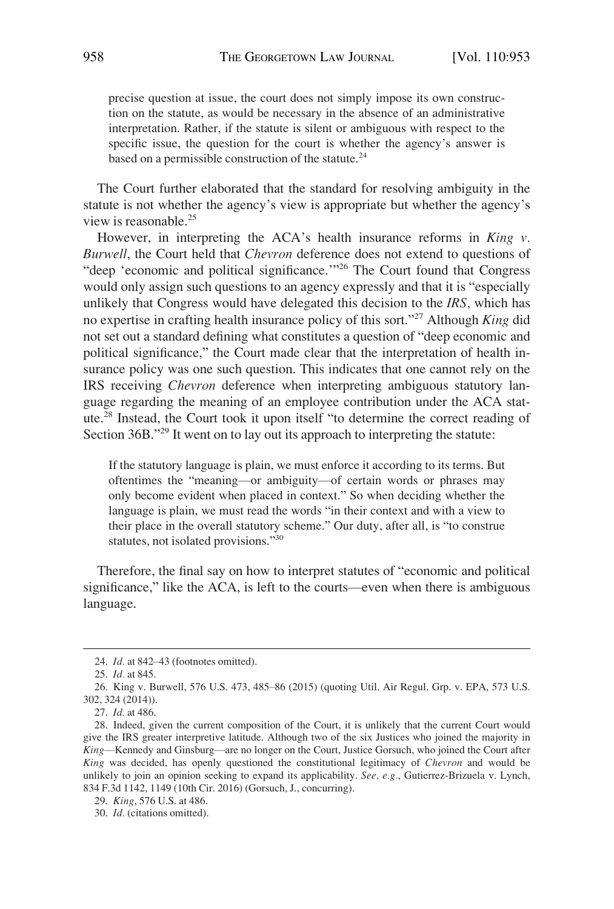precise question at issue, the court does not simply impose its own construction on the statute, as would be necessary in the absence of an administrative interpretation. Rather, if the statute is silent or ambiguous with respect to the specific issue, the question for the court is whether the agency's answer is based on a permissible construction of the statute.<sup>24</sup>

The Court further elaborated that the standard for resolving ambiguity in the statute is not whether the agency's view is appropriate but whether the agency's view is reasonable.25

However, in interpreting the ACA's health insurance reforms in *King v. Burwell*, the Court held that *Chevron* deference does not extend to questions of "deep 'economic and political significance.'"26 The Court found that Congress would only assign such questions to an agency expressly and that it is "especially unlikely that Congress would have delegated this decision to the *IRS*, which has no expertise in crafting health insurance policy of this sort."27 Although *King* did not set out a standard defining what constitutes a question of "deep economic and political significance," the Court made clear that the interpretation of health insurance policy was one such question. This indicates that one cannot rely on the IRS receiving *Chevron* deference when interpreting ambiguous statutory language regarding the meaning of an employee contribution under the ACA statute.28 Instead, the Court took it upon itself "to determine the correct reading of Section 36B."<sup>29</sup> It went on to lay out its approach to interpreting the statute:

If the statutory language is plain, we must enforce it according to its terms. But oftentimes the "meaning—or ambiguity—of certain words or phrases may only become evident when placed in context." So when deciding whether the language is plain, we must read the words "in their context and with a view to their place in the overall statutory scheme." Our duty, after all, is "to construe statutes, not isolated provisions."<sup>30</sup>

Therefore, the final say on how to interpret statutes of "economic and political significance," like the ACA, is left to the courts—even when there is ambiguous language.

<sup>24.</sup> *Id.* at 842–43 (footnotes omitted).

<sup>25.</sup> *Id.* at 845.

<sup>26.</sup> King v. Burwell, 576 U.S. 473, 485–86 (2015) (quoting Util. Air Regul. Grp. v. EPA, 573 U.S. 302, 324 (2014)).

<sup>27.</sup> *Id.* at 486.

<sup>28.</sup> Indeed, given the current composition of the Court, it is unlikely that the current Court would give the IRS greater interpretive latitude. Although two of the six Justices who joined the majority in *King*—Kennedy and Ginsburg—are no longer on the Court, Justice Gorsuch, who joined the Court after *King* was decided, has openly questioned the constitutional legitimacy of *Chevron* and would be unlikely to join an opinion seeking to expand its applicability. *See, e.g.*, Gutierrez-Brizuela v. Lynch, 834 F.3d 1142, 1149 (10th Cir. 2016) (Gorsuch, J., concurring).

<sup>29.</sup> *King*, 576 U.S. at 486.

<sup>30.</sup> *Id.* (citations omitted).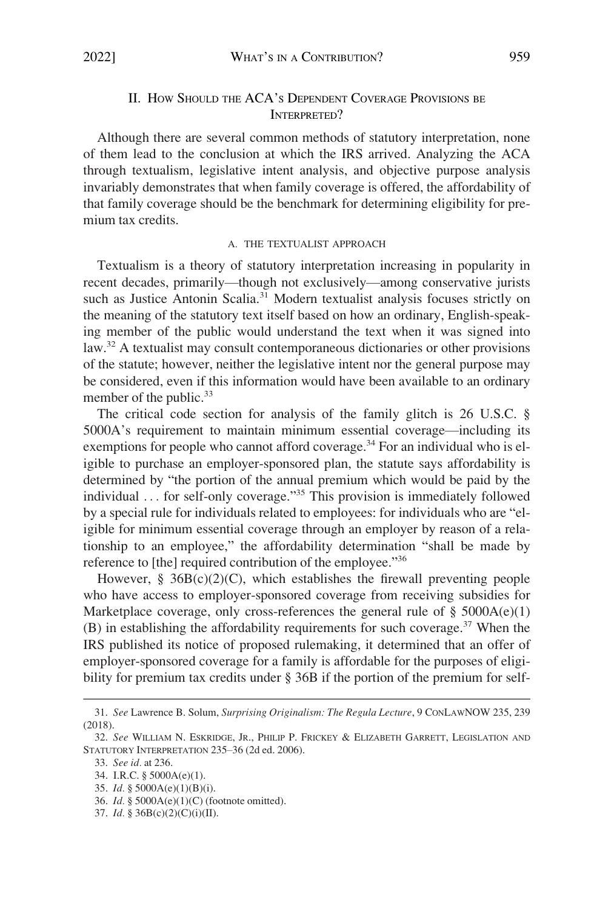# II. HOW SHOULD THE ACA'S DEPENDENT COVERAGE PROVISIONS BE INTERPRETED?

<span id="page-6-0"></span>Although there are several common methods of statutory interpretation, none of them lead to the conclusion at which the IRS arrived. Analyzing the ACA through textualism, legislative intent analysis, and objective purpose analysis invariably demonstrates that when family coverage is offered, the affordability of that family coverage should be the benchmark for determining eligibility for premium tax credits.

#### A. THE TEXTUALIST APPROACH

Textualism is a theory of statutory interpretation increasing in popularity in recent decades, primarily—though not exclusively—among conservative jurists such as Justice Antonin Scalia.<sup>31</sup> Modern textualist analysis focuses strictly on the meaning of the statutory text itself based on how an ordinary, English-speaking member of the public would understand the text when it was signed into law.<sup>32</sup> A textualist may consult contemporaneous dictionaries or other provisions of the statute; however, neither the legislative intent nor the general purpose may be considered, even if this information would have been available to an ordinary member of the public.<sup>33</sup>

The critical code section for analysis of the family glitch is 26 U.S.C. § 5000A's requirement to maintain minimum essential coverage—including its exemptions for people who cannot afford coverage.<sup>34</sup> For an individual who is eligible to purchase an employer-sponsored plan, the statute says affordability is determined by "the portion of the annual premium which would be paid by the individual ... for self-only coverage."<sup>35</sup> This provision is immediately followed by a special rule for individuals related to employees: for individuals who are "eligible for minimum essential coverage through an employer by reason of a relationship to an employee," the affordability determination "shall be made by reference to [the] required contribution of the employee."<sup>36</sup>

However,  $\S$  36B(c)(2)(C), which establishes the firewall preventing people who have access to employer-sponsored coverage from receiving subsidies for Marketplace coverage, only cross-references the general rule of  $\S$  5000A(e)(1) (B) in establishing the affordability requirements for such coverage.37 When the IRS published its notice of proposed rulemaking, it determined that an offer of employer-sponsored coverage for a family is affordable for the purposes of eligibility for premium tax credits under § 36B if the portion of the premium for self-

- 35. *Id.* § 5000A(e)(1)(B)(i).
- 36. *Id.* § 5000A(e)(1)(C) (footnote omitted).
- 37. *Id.* § 36B(c)(2)(C)(i)(II).

<sup>31.</sup> *See* Lawrence B. Solum, *Surprising Originalism: The Regula Lecture*, 9 CONLAWNOW 235, 239 (2018).

<sup>32.</sup> *See* WILLIAM N. ESKRIDGE, JR., PHILIP P. FRICKEY & ELIZABETH GARRETT, LEGISLATION AND STATUTORY INTERPRETATION 235–36 (2d ed. 2006).

<sup>33.</sup> *See id.* at 236.

<sup>34.</sup> I.R.C. § 5000A(e)(1).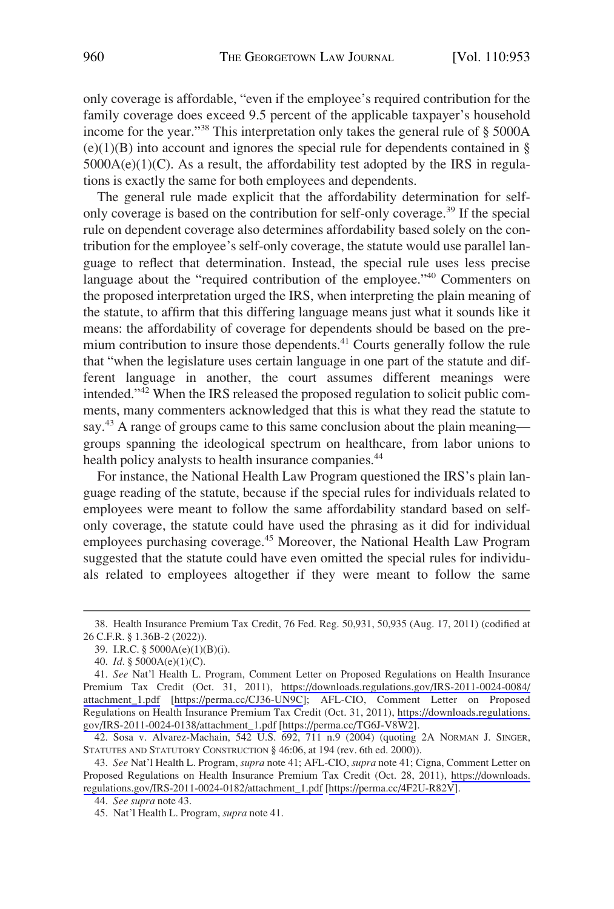only coverage is affordable, "even if the employee's required contribution for the family coverage does exceed 9.5 percent of the applicable taxpayer's household income for the year."38 This interpretation only takes the general rule of § 5000A  $(e)(1)(B)$  into account and ignores the special rule for dependents contained in §  $5000A(e)(1)(C)$ . As a result, the affordability test adopted by the IRS in regulations is exactly the same for both employees and dependents.

The general rule made explicit that the affordability determination for selfonly coverage is based on the contribution for self-only coverage.39 If the special rule on dependent coverage also determines affordability based solely on the contribution for the employee's self-only coverage, the statute would use parallel language to reflect that determination. Instead, the special rule uses less precise language about the "required contribution of the employee."<sup>40</sup> Commenters on the proposed interpretation urged the IRS, when interpreting the plain meaning of the statute, to affirm that this differing language means just what it sounds like it means: the affordability of coverage for dependents should be based on the premium contribution to insure those dependents.<sup>41</sup> Courts generally follow the rule that "when the legislature uses certain language in one part of the statute and different language in another, the court assumes different meanings were intended."42 When the IRS released the proposed regulation to solicit public comments, many commenters acknowledged that this is what they read the statute to say.<sup>43</sup> A range of groups came to this same conclusion about the plain meaning groups spanning the ideological spectrum on healthcare, from labor unions to health policy analysts to health insurance companies.<sup>44</sup>

For instance, the National Health Law Program questioned the IRS's plain language reading of the statute, because if the special rules for individuals related to employees were meant to follow the same affordability standard based on selfonly coverage, the statute could have used the phrasing as it did for individual employees purchasing coverage.<sup>45</sup> Moreover, the National Health Law Program suggested that the statute could have even omitted the special rules for individuals related to employees altogether if they were meant to follow the same

<sup>38.</sup> Health Insurance Premium Tax Credit, 76 Fed. Reg. 50,931, 50,935 (Aug. 17, 2011) (codified at 26 C.F.R. § 1.36B-2 (2022)).

<sup>39.</sup> I.R.C. § 5000A(e)(1)(B)(i).

<sup>40.</sup> *Id.* § 5000A(e)(1)(C).

*See* Nat'l Health L. Program, Comment Letter on Proposed Regulations on Health Insurance 41. Premium Tax Credit (Oct. 31, 2011), [https://downloads.regulations.gov/IRS-2011-0024-0084/](https://downloads.regulations.gov/IRS-2011-0024-0084/attachment_1.pdf) [attachment\\_1.pdf](https://downloads.regulations.gov/IRS-2011-0024-0084/attachment_1.pdf) [\[https://perma.cc/CJ36-UN9C\]](https://perma.cc/CJ36-UN9C); AFL-CIO, Comment Letter on Proposed Regulations on Health Insurance Premium Tax Credit (Oct. 31, 2011), [https://downloads.regulations.](https://downloads.regulations.gov/IRS-2011-0024-0138/attachment_1.pdf) [gov/IRS-2011-0024-0138/attachment\\_1.pdf](https://downloads.regulations.gov/IRS-2011-0024-0138/attachment_1.pdf) [[https://perma.cc/TG6J-V8W2\]](https://perma.cc/TG6J-V8W2).

<sup>42.</sup> Sosa v. Alvarez-Machain, 542 U.S. 692, 711 n.9 (2004) (quoting 2A NORMAN J. SINGER, STATUTES AND STATUTORY CONSTRUCTION § 46:06, at 194 (rev. 6th ed. 2000)).

*See* Nat'l Health L. Program, *supra* note 41; AFL-CIO, *supra* note 41; Cigna, Comment Letter on 43. Proposed Regulations on Health Insurance Premium Tax Credit (Oct. 28, 2011), [https://downloads.](https://downloads.regulations.gov/IRS-2011-0024-0182/attachment_1.pdf)  [regulations.gov/IRS-2011-0024-0182/attachment\\_1.pdf](https://downloads.regulations.gov/IRS-2011-0024-0182/attachment_1.pdf) [\[https://perma.cc/4F2U-R82V\]](https://perma.cc/4F2U-R82V).

<sup>44.</sup> *See supra* note 43.

<sup>45.</sup> Nat'l Health L. Program, *supra* note 41.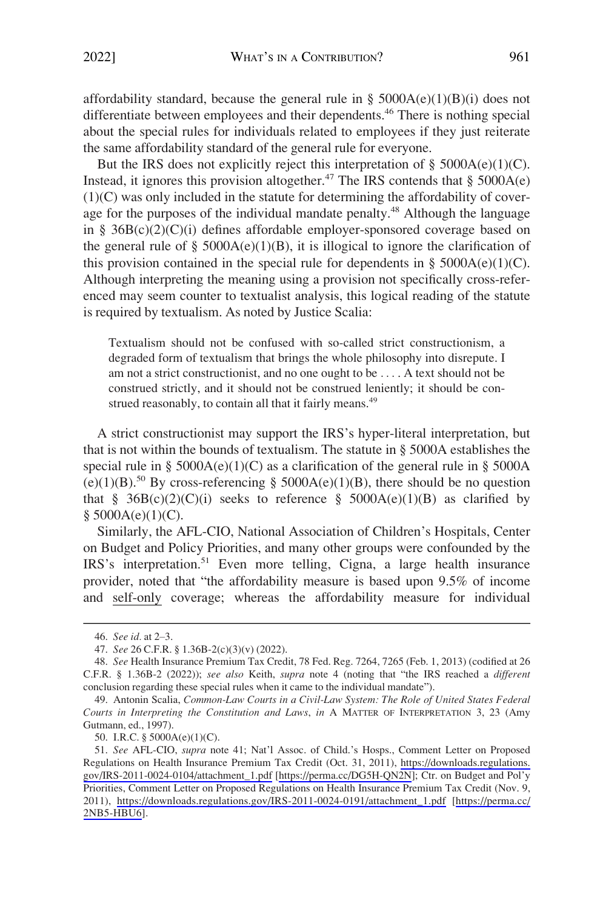affordability standard, because the general rule in §  $5000A(e)(1)(B)(i)$  does not differentiate between employees and their dependents.46 There is nothing special about the special rules for individuals related to employees if they just reiterate the same affordability standard of the general rule for everyone.

But the IRS does not explicitly reject this interpretation of  $\S$  5000A(e)(1)(C). Instead, it ignores this provision altogether.<sup>47</sup> The IRS contends that  $\S$  5000A(e) (1)(C) was only included in the statute for determining the affordability of coverage for the purposes of the individual mandate penalty.<sup>48</sup> Although the language in § 36B(c)(2)(C)(i) defines affordable employer-sponsored coverage based on the general rule of §  $5000A(e)(1)(B)$ , it is illogical to ignore the clarification of this provision contained in the special rule for dependents in §  $5000A(e)(1)(C)$ . Although interpreting the meaning using a provision not specifically cross-referenced may seem counter to textualist analysis, this logical reading of the statute is required by textualism. As noted by Justice Scalia:

Textualism should not be confused with so-called strict constructionism, a degraded form of textualism that brings the whole philosophy into disrepute. I am not a strict constructionist, and no one ought to be . . . . A text should not be construed strictly, and it should not be construed leniently; it should be construed reasonably, to contain all that it fairly means.<sup>49</sup>

A strict constructionist may support the IRS's hyper-literal interpretation, but that is not within the bounds of textualism. The statute in § 5000A establishes the special rule in §  $5000A(e)(1)(C)$  as a clarification of the general rule in §  $5000A$ (e)(1)(B).<sup>50</sup> By cross-referencing § 5000A(e)(1)(B), there should be no question that § 36B(c)(2)(C)(i) seeks to reference § 5000A(e)(1)(B) as clarified by  $§$  5000A(e)(1)(C).

Similarly, the AFL-CIO, National Association of Children's Hospitals, Center on Budget and Policy Priorities, and many other groups were confounded by the IRS's interpretation.<sup>51</sup> Even more telling, Cigna, a large health insurance provider, noted that "the affordability measure is based upon 9.5% of income and self-only coverage; whereas the affordability measure for individual

50. I.R.C. § 5000A(e)(1)(C).

<sup>46.</sup> *See id.* at 2–3.

<sup>47.</sup> *See* 26 C.F.R. § 1.36B-2(c)(3)(v) (2022).

<sup>48.</sup> *See* Health Insurance Premium Tax Credit, 78 Fed. Reg. 7264, 7265 (Feb. 1, 2013) (codified at 26 C.F.R. § 1.36B-2 (2022)); *see also* Keith, *supra* note 4 (noting that "the IRS reached a *different*  conclusion regarding these special rules when it came to the individual mandate").

<sup>49.</sup> Antonin Scalia, *Common-Law Courts in a Civil-Law System: The Role of United States Federal Courts in Interpreting the Constitution and Laws*, *in* A MATTER OF INTERPRETATION 3, 23 (Amy Gutmann, ed., 1997).

<sup>51.</sup> See AFL-CIO, *supra* note 41; Nat'l Assoc. of Child.'s Hosps., Comment Letter on Proposed Regulations on Health Insurance Premium Tax Credit (Oct. 31, 2011), [https://downloads.regulations.](https://downloads.regulations.gov/IRS-2011-0024-0104/attachment_1.pdf)  [gov/IRS-2011-0024-0104/attachment\\_1.pdf](https://downloads.regulations.gov/IRS-2011-0024-0104/attachment_1.pdf) [[https://perma.cc/DG5H-QN2N\]](https://perma.cc/DG5H-QN2N); Ctr. on Budget and Pol'y Priorities, Comment Letter on Proposed Regulations on Health Insurance Premium Tax Credit (Nov. 9, 2011), [https://downloads.regulations.gov/IRS-2011-0024-0191/attachment\\_1.pdf](https://downloads.regulations.gov/IRS-2011-0024-0191/attachment_1.pdf) [[https://perma.cc/](https://perma.cc/2NB5-HBU6) [2NB5-HBU6](https://perma.cc/2NB5-HBU6)].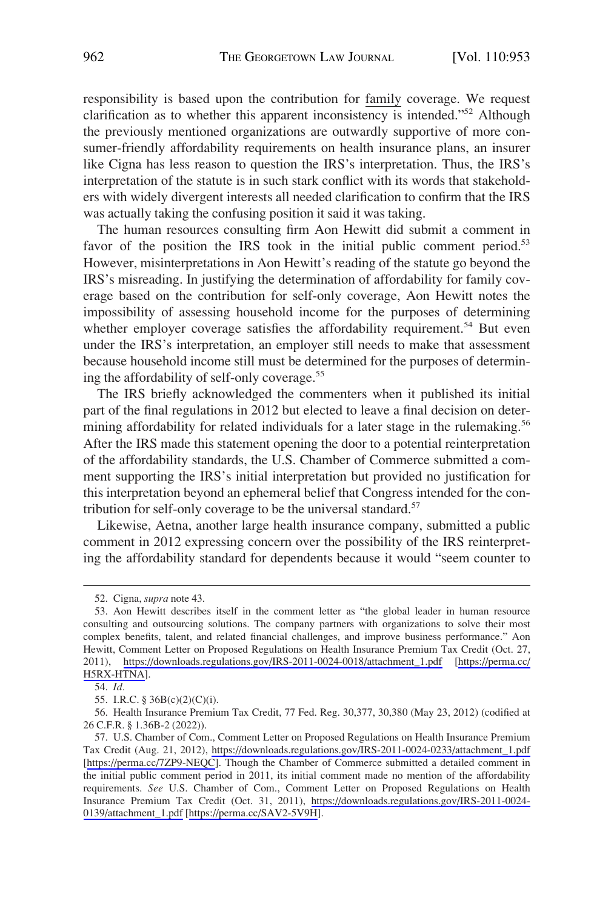responsibility is based upon the contribution for family coverage. We request clarification as to whether this apparent inconsistency is intended."52 Although the previously mentioned organizations are outwardly supportive of more consumer-friendly affordability requirements on health insurance plans, an insurer like Cigna has less reason to question the IRS's interpretation. Thus, the IRS's interpretation of the statute is in such stark conflict with its words that stakeholders with widely divergent interests all needed clarification to confirm that the IRS was actually taking the confusing position it said it was taking.

The human resources consulting firm Aon Hewitt did submit a comment in favor of the position the IRS took in the initial public comment period.<sup>53</sup> However, misinterpretations in Aon Hewitt's reading of the statute go beyond the IRS's misreading. In justifying the determination of affordability for family coverage based on the contribution for self-only coverage, Aon Hewitt notes the impossibility of assessing household income for the purposes of determining whether employer coverage satisfies the affordability requirement.<sup>54</sup> But even under the IRS's interpretation, an employer still needs to make that assessment because household income still must be determined for the purposes of determining the affordability of self-only coverage.55

The IRS briefly acknowledged the commenters when it published its initial part of the final regulations in 2012 but elected to leave a final decision on determining affordability for related individuals for a later stage in the rulemaking.<sup>56</sup> After the IRS made this statement opening the door to a potential reinterpretation of the affordability standards, the U.S. Chamber of Commerce submitted a comment supporting the IRS's initial interpretation but provided no justification for this interpretation beyond an ephemeral belief that Congress intended for the contribution for self-only coverage to be the universal standard.<sup>57</sup>

Likewise, Aetna, another large health insurance company, submitted a public comment in 2012 expressing concern over the possibility of the IRS reinterpreting the affordability standard for dependents because it would "seem counter to

<sup>52.</sup> Cigna, *supra* note 43.

<sup>53.</sup> Aon Hewitt describes itself in the comment letter as "the global leader in human resource consulting and outsourcing solutions. The company partners with organizations to solve their most complex benefits, talent, and related financial challenges, and improve business performance." Aon Hewitt, Comment Letter on Proposed Regulations on Health Insurance Premium Tax Credit (Oct. 27, 2011), [https://downloads.regulations.gov/IRS-2011-0024-0018/attachment\\_1.pdf](https://downloads.regulations.gov/IRS-2011-0024-0018/attachment_1.pdf) [[https://perma.cc/](https://perma.cc/H5RX-HTNA)  [H5RX-HTNA\]](https://perma.cc/H5RX-HTNA).

<sup>54.</sup> *Id.* 

<sup>55.</sup> I.R.C. § 36B(c)(2)(C)(i).

<sup>56.</sup> Health Insurance Premium Tax Credit, 77 Fed. Reg. 30,377, 30,380 (May 23, 2012) (codified at 26 C.F.R. § 1.36B-2 (2022)).

U.S. Chamber of Com., Comment Letter on Proposed Regulations on Health Insurance Premium 57. Tax Credit (Aug. 21, 2012), [https://downloads.regulations.gov/IRS-2011-0024-0233/attachment\\_1.pdf](https://downloads.regulations.gov/IRS-2011-0024-0233/attachment_1.pdf)  [<https://perma.cc/7ZP9-NEQC>]. Though the Chamber of Commerce submitted a detailed comment in the initial public comment period in 2011, its initial comment made no mention of the affordability requirements. *See* U.S. Chamber of Com., Comment Letter on Proposed Regulations on Health Insurance Premium Tax Credit (Oct. 31, 2011), [https://downloads.regulations.gov/IRS-2011-0024-](https://downloads.regulations.gov/IRS-2011-0024-0139/attachment_1.pdf)  [0139/attachment\\_1.pdf](https://downloads.regulations.gov/IRS-2011-0024-0139/attachment_1.pdf) [<https://perma.cc/SAV2-5V9H>].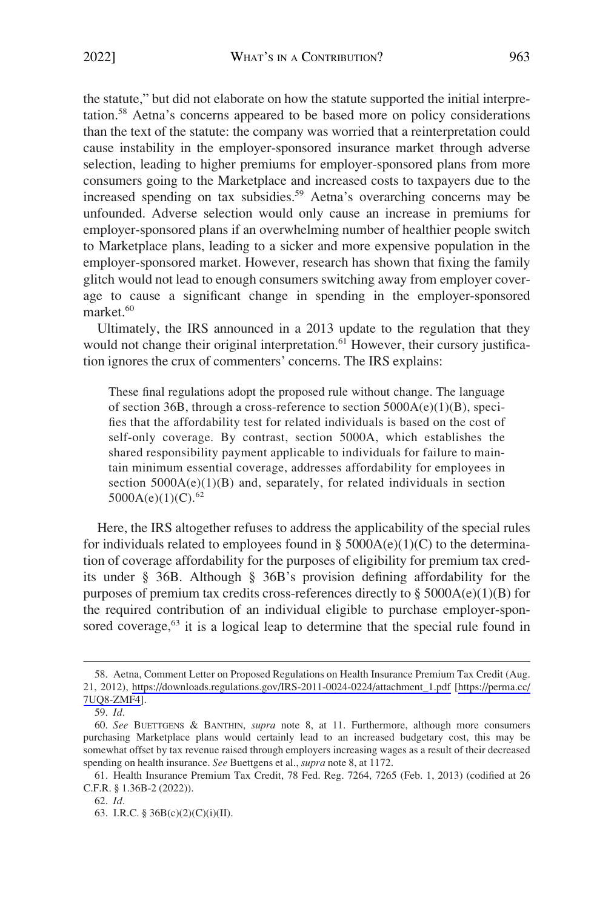the statute," but did not elaborate on how the statute supported the initial interpretation.58 Aetna's concerns appeared to be based more on policy considerations than the text of the statute: the company was worried that a reinterpretation could cause instability in the employer-sponsored insurance market through adverse selection, leading to higher premiums for employer-sponsored plans from more consumers going to the Marketplace and increased costs to taxpayers due to the increased spending on tax subsidies.<sup>59</sup> Aetna's overarching concerns may be unfounded. Adverse selection would only cause an increase in premiums for employer-sponsored plans if an overwhelming number of healthier people switch to Marketplace plans, leading to a sicker and more expensive population in the employer-sponsored market. However, research has shown that fixing the family glitch would not lead to enough consumers switching away from employer coverage to cause a significant change in spending in the employer-sponsored market.<sup>60</sup>

Ultimately, the IRS announced in a 2013 update to the regulation that they would not change their original interpretation.<sup>61</sup> However, their cursory justification ignores the crux of commenters' concerns. The IRS explains:

These final regulations adopt the proposed rule without change. The language of section 36B, through a cross-reference to section 5000A(e)(1)(B), specifies that the affordability test for related individuals is based on the cost of self-only coverage. By contrast, section 5000A, which establishes the shared responsibility payment applicable to individuals for failure to maintain minimum essential coverage, addresses affordability for employees in section  $5000A(e)(1)(B)$  and, separately, for related individuals in section  $5000A(e)(1)(C).<sup>62</sup>$ 

Here, the IRS altogether refuses to address the applicability of the special rules for individuals related to employees found in §  $5000A(e)(1)(C)$  to the determination of coverage affordability for the purposes of eligibility for premium tax credits under § 36B. Although § 36B's provision defining affordability for the purposes of premium tax credits cross-references directly to  $\S$  5000A(e)(1)(B) for the required contribution of an individual eligible to purchase employer-sponsored coverage,<sup>63</sup> it is a logical leap to determine that the special rule found in

<sup>58.</sup> Aetna, Comment Letter on Proposed Regulations on Health Insurance Premium Tax Credit (Aug. 21, 2012), [https://downloads.regulations.gov/IRS-2011-0024-0224/attachment\\_1.pdf](https://downloads.regulations.gov/IRS-2011-0024-0224/attachment_1.pdf) [[https://perma.cc/](https://perma.cc/7UQ8-ZMF4)  [7UQ8-ZMF4](https://perma.cc/7UQ8-ZMF4)].

<sup>59.</sup> *Id.* 

<sup>60.</sup> *See* BUETTGENS & BANTHIN, *supra* note 8, at 11. Furthermore, although more consumers purchasing Marketplace plans would certainly lead to an increased budgetary cost, this may be somewhat offset by tax revenue raised through employers increasing wages as a result of their decreased spending on health insurance. *See* Buettgens et al., *supra* note 8, at 1172.

<sup>61.</sup> Health Insurance Premium Tax Credit, 78 Fed. Reg. 7264, 7265 (Feb. 1, 2013) (codified at 26 C.F.R. § 1.36B-2 (2022)).

<sup>62.</sup> *Id.* 

<sup>63.</sup> I.R.C. § 36B(c)(2)(C)(i)(II).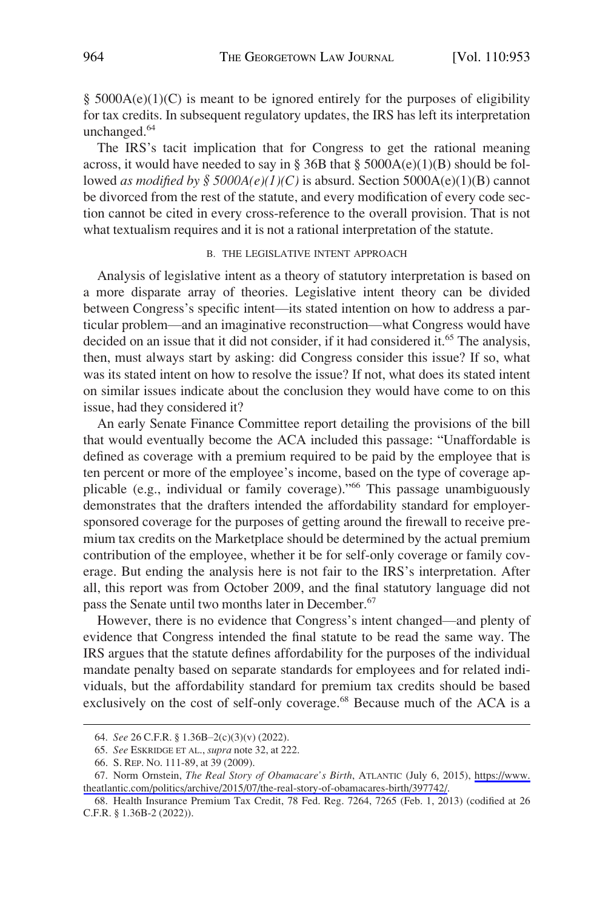<span id="page-11-0"></span> $§$  5000A(e)(1)(C) is meant to be ignored entirely for the purposes of eligibility for tax credits. In subsequent regulatory updates, the IRS has left its interpretation unchanged.<sup>64</sup>

The IRS's tacit implication that for Congress to get the rational meaning across, it would have needed to say in § 36B that §  $5000A(e)(1)(B)$  should be followed *as modified by*  $\frac{6}{5}$  5000A(e)(1)(C) is absurd. Section 5000A(e)(1)(B) cannot be divorced from the rest of the statute, and every modification of every code section cannot be cited in every cross-reference to the overall provision. That is not what textualism requires and it is not a rational interpretation of the statute.

## B. THE LEGISLATIVE INTENT APPROACH

Analysis of legislative intent as a theory of statutory interpretation is based on a more disparate array of theories. Legislative intent theory can be divided between Congress's specific intent—its stated intention on how to address a particular problem—and an imaginative reconstruction—what Congress would have decided on an issue that it did not consider, if it had considered it.<sup>65</sup> The analysis, then, must always start by asking: did Congress consider this issue? If so, what was its stated intent on how to resolve the issue? If not, what does its stated intent on similar issues indicate about the conclusion they would have come to on this issue, had they considered it?

An early Senate Finance Committee report detailing the provisions of the bill that would eventually become the ACA included this passage: "Unaffordable is defined as coverage with a premium required to be paid by the employee that is ten percent or more of the employee's income, based on the type of coverage applicable (e.g., individual or family coverage)."66 This passage unambiguously demonstrates that the drafters intended the affordability standard for employersponsored coverage for the purposes of getting around the firewall to receive premium tax credits on the Marketplace should be determined by the actual premium contribution of the employee, whether it be for self-only coverage or family coverage. But ending the analysis here is not fair to the IRS's interpretation. After all, this report was from October 2009, and the final statutory language did not pass the Senate until two months later in December.<sup>67</sup>

However, there is no evidence that Congress's intent changed—and plenty of evidence that Congress intended the final statute to be read the same way. The IRS argues that the statute defines affordability for the purposes of the individual mandate penalty based on separate standards for employees and for related individuals, but the affordability standard for premium tax credits should be based exclusively on the cost of self-only coverage.<sup>68</sup> Because much of the ACA is a

<sup>64.</sup> *See* 26 C.F.R. § 1.36B–2(c)(3)(v) (2022).

<sup>65.</sup> *See* ESKRIDGE ET AL., *supra* note 32, at 222.

<sup>66.</sup> S. REP. NO. 111-89, at 39 (2009).

<sup>67.</sup> Norm Ornstein, *The Real Story of Obamacare's Birth*, ATLANTIC (July 6, 2015), https://www. [theatlantic.com/politics/archive/2015/07/the-real-story-of-obamacares-birth/397742/](https://www.theatlantic.com/politics/archive/2015/07/the-real-story-of-obamacares-birth/397742/).

<sup>68.</sup> Health Insurance Premium Tax Credit, 78 Fed. Reg. 7264, 7265 (Feb. 1, 2013) (codified at 26 C.F.R. § 1.36B-2 (2022)).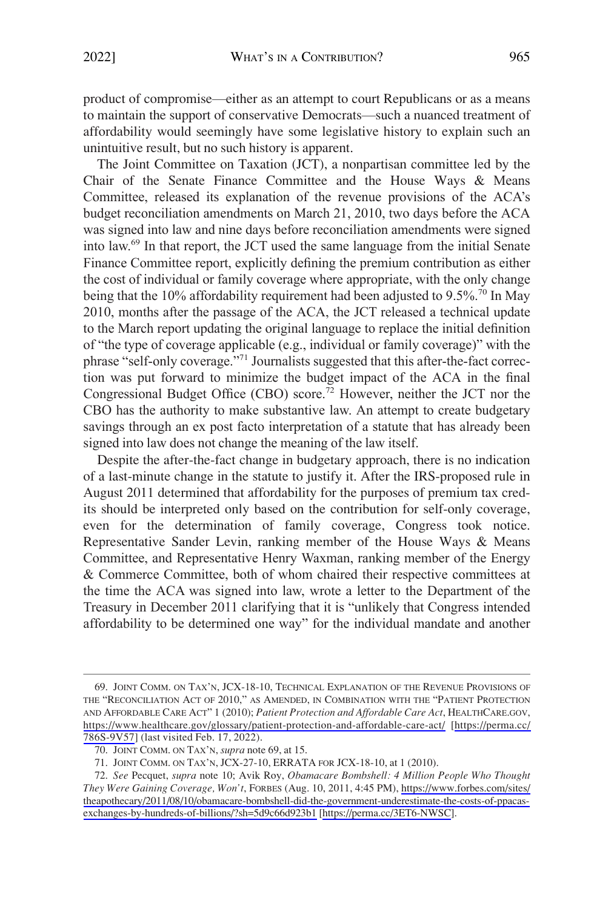product of compromise—either as an attempt to court Republicans or as a means to maintain the support of conservative Democrats—such a nuanced treatment of affordability would seemingly have some legislative history to explain such an unintuitive result, but no such history is apparent.

The Joint Committee on Taxation (JCT), a nonpartisan committee led by the Chair of the Senate Finance Committee and the House Ways & Means Committee, released its explanation of the revenue provisions of the ACA's budget reconciliation amendments on March 21, 2010, two days before the ACA was signed into law and nine days before reconciliation amendments were signed into law.69 In that report, the JCT used the same language from the initial Senate Finance Committee report, explicitly defining the premium contribution as either the cost of individual or family coverage where appropriate, with the only change being that the 10% affordability requirement had been adjusted to 9.5%.<sup>70</sup> In May 2010, months after the passage of the ACA, the JCT released a technical update to the March report updating the original language to replace the initial definition of "the type of coverage applicable (e.g., individual or family coverage)" with the phrase "self-only coverage."71 Journalists suggested that this after-the-fact correction was put forward to minimize the budget impact of the ACA in the final Congressional Budget Office (CBO) score.<sup>72</sup> However, neither the JCT nor the CBO has the authority to make substantive law. An attempt to create budgetary savings through an ex post facto interpretation of a statute that has already been signed into law does not change the meaning of the law itself.

Despite the after-the-fact change in budgetary approach, there is no indication of a last-minute change in the statute to justify it. After the IRS-proposed rule in August 2011 determined that affordability for the purposes of premium tax credits should be interpreted only based on the contribution for self-only coverage, even for the determination of family coverage, Congress took notice. Representative Sander Levin, ranking member of the House Ways & Means Committee, and Representative Henry Waxman, ranking member of the Energy & Commerce Committee, both of whom chaired their respective committees at the time the ACA was signed into law, wrote a letter to the Department of the Treasury in December 2011 clarifying that it is "unlikely that Congress intended affordability to be determined one way" for the individual mandate and another

<sup>69.</sup> JOINT COMM. ON TAX'N, JCX-18-10, TECHNICAL EXPLANATION OF THE REVENUE PROVISIONS OF THE "RECONCILIATION ACT OF 2010," AS AMENDED, IN COMBINATION WITH THE "PATIENT PROTECTION AND AFFORDABLE CARE ACT" 1 (2010); *Patient Protection and Affordable Care Act*, HEALTHCARE.GOV, <https://www.healthcare.gov/glossary/patient-protection-and-affordable-care-act/>[[https://perma.cc/](https://perma.cc/786S-9V57) [786S-9V57\]](https://perma.cc/786S-9V57) (last visited Feb. 17, 2022).

<sup>70.</sup> JOINT COMM. ON TAX'N, *supra* note 69, at 15.

<sup>71.</sup> JOINT COMM. ON TAX'N, JCX-27-10, ERRATA FOR JCX-18-10, at 1 (2010).

*See* Pecquet, *supra* note 10; Avik Roy, *Obamacare Bombshell: 4 Million People Who Thought*  72. *They Were Gaining Coverage, Won't*, FORBES (Aug. 10, 2011, 4:45 PM), [https://www.forbes.com/sites/](https://www.forbes.com/sites/theapothecary/2011/08/10/obamacare-bombshell-did-the-government-underestimate-the-costs-of-ppacas-exchanges-by-hundreds-of-billions/?sh=5d9c66d923b1)  [theapothecary/2011/08/10/obamacare-bombshell-did-the-government-underestimate-the-costs-of-ppacas](https://www.forbes.com/sites/theapothecary/2011/08/10/obamacare-bombshell-did-the-government-underestimate-the-costs-of-ppacas-exchanges-by-hundreds-of-billions/?sh=5d9c66d923b1)[exchanges-by-hundreds-of-billions/?sh=5d9c66d923b1](https://www.forbes.com/sites/theapothecary/2011/08/10/obamacare-bombshell-did-the-government-underestimate-the-costs-of-ppacas-exchanges-by-hundreds-of-billions/?sh=5d9c66d923b1) [<https://perma.cc/3ET6-NWSC>].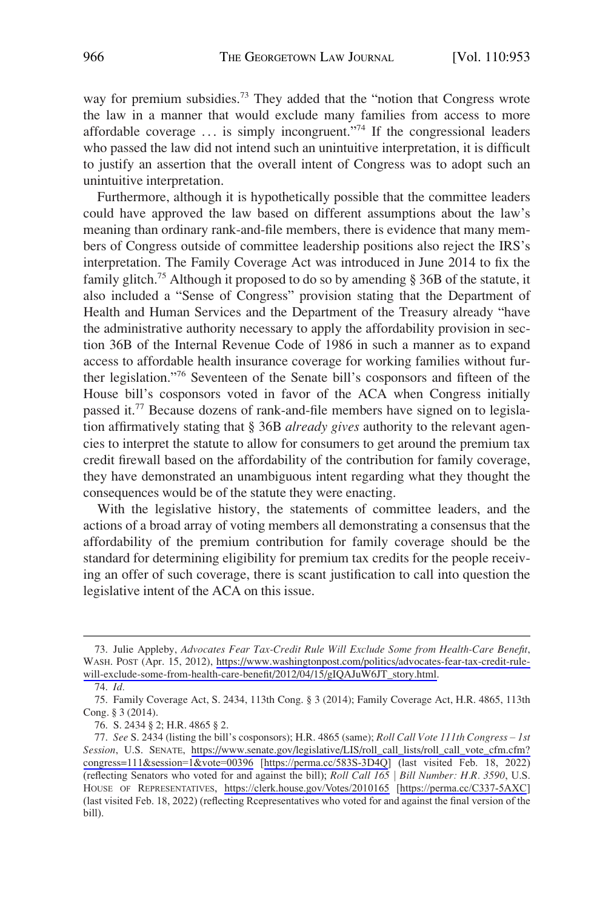way for premium subsidies.<sup>73</sup> They added that the "notion that Congress wrote the law in a manner that would exclude many families from access to more affordable coverage  $\dots$  is simply incongruent."<sup>74</sup> If the congressional leaders who passed the law did not intend such an unintuitive interpretation, it is difficult to justify an assertion that the overall intent of Congress was to adopt such an unintuitive interpretation.

Furthermore, although it is hypothetically possible that the committee leaders could have approved the law based on different assumptions about the law's meaning than ordinary rank-and-file members, there is evidence that many members of Congress outside of committee leadership positions also reject the IRS's interpretation. The Family Coverage Act was introduced in June 2014 to fix the family glitch.75 Although it proposed to do so by amending § 36B of the statute, it also included a "Sense of Congress" provision stating that the Department of Health and Human Services and the Department of the Treasury already "have the administrative authority necessary to apply the affordability provision in section 36B of the Internal Revenue Code of 1986 in such a manner as to expand access to affordable health insurance coverage for working families without further legislation."76 Seventeen of the Senate bill's cosponsors and fifteen of the House bill's cosponsors voted in favor of the ACA when Congress initially passed it.<sup>77</sup> Because dozens of rank-and-file members have signed on to legislation affirmatively stating that § 36B *already gives* authority to the relevant agencies to interpret the statute to allow for consumers to get around the premium tax credit firewall based on the affordability of the contribution for family coverage, they have demonstrated an unambiguous intent regarding what they thought the consequences would be of the statute they were enacting.

With the legislative history, the statements of committee leaders, and the actions of a broad array of voting members all demonstrating a consensus that the affordability of the premium contribution for family coverage should be the standard for determining eligibility for premium tax credits for the people receiving an offer of such coverage, there is scant justification to call into question the legislative intent of the ACA on this issue.

<sup>73.</sup> Julie Appleby, Advocates Fear Tax-Credit Rule Will Exclude Some from Health-Care Benefit, WASH. POST (Apr. 15, 2012), [https://www.washingtonpost.com/politics/advocates-fear-tax-credit-rule](https://www.washingtonpost.com/politics/advocates-fear-tax-credit-rule-will-exclude-some-from-health-care-benefit/2012/04/15/gIQAJuW6JT_story.html)[will-exclude-some-from-health-care-benefit/2012/04/15/gIQAJuW6JT\\_story.html.](https://www.washingtonpost.com/politics/advocates-fear-tax-credit-rule-will-exclude-some-from-health-care-benefit/2012/04/15/gIQAJuW6JT_story.html)

<sup>74.</sup> *Id.* 

<sup>75.</sup> Family Coverage Act, S. 2434, 113th Cong. § 3 (2014); Family Coverage Act, H.R. 4865, 113th Cong. § 3 (2014).

<sup>76.</sup> S. 2434 § 2; H.R. 4865 § 2.

*See* S. 2434 (listing the bill's cosponsors); H.R. 4865 (same); *Roll Call Vote 111th Congress* – *1st*  77. Session, U.S. SENATE, https://www.senate.gov/legislative/LIS/roll\_call\_lists/roll\_call\_vote\_cfm.cfm? congress=111[&session=1&vote=00396](https://www.senate.gov/legislative/LIS/roll_call_lists/roll_call_vote_cfm.cfm?congress=111&session=1&vote=00396) [\[https://perma.cc/583S-3D4Q](https://perma.cc/583S-3D4Q)] (last visited Feb. 18, 2022) (reflecting Senators who voted for and against the bill); *Roll Call 165* j *Bill Number: H.R. 3590*, U.S. HOUSE OF REPRESENTATIVES, <https://clerk.house.gov/Votes/2010165> [<https://perma.cc/C337-5AXC>] (last visited Feb. 18, 2022) (reflecting Rcepresentatives who voted for and against the final version of the bill).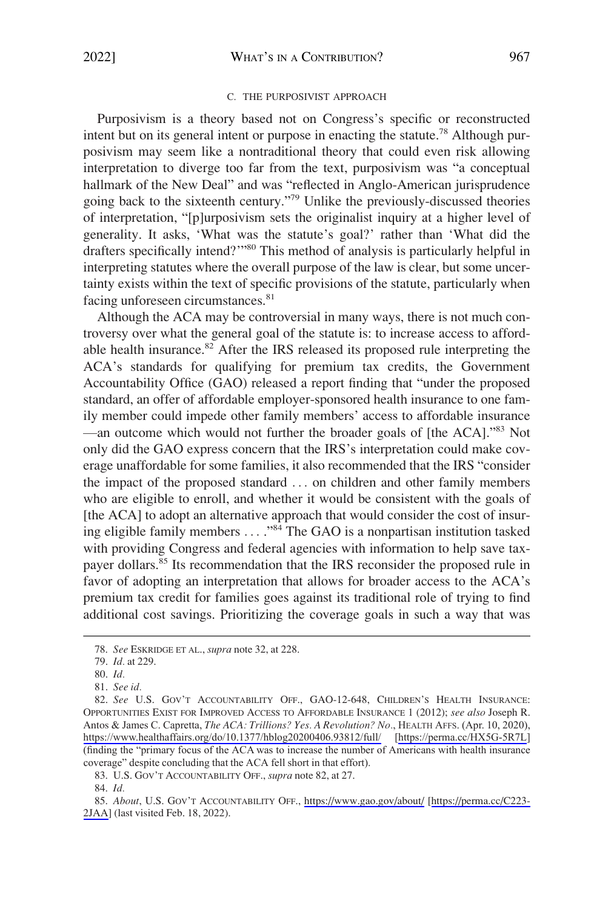### C. THE PURPOSIVIST APPROACH

<span id="page-14-0"></span>Purposivism is a theory based not on Congress's specific or reconstructed intent but on its general intent or purpose in enacting the statute.78 Although purposivism may seem like a nontraditional theory that could even risk allowing interpretation to diverge too far from the text, purposivism was "a conceptual hallmark of the New Deal" and was "reflected in Anglo-American jurisprudence going back to the sixteenth century."79 Unlike the previously-discussed theories of interpretation, "[p]urposivism sets the originalist inquiry at a higher level of generality. It asks, 'What was the statute's goal?' rather than 'What did the drafters specifically intend?"<sup>80</sup> This method of analysis is particularly helpful in interpreting statutes where the overall purpose of the law is clear, but some uncertainty exists within the text of specific provisions of the statute, particularly when facing unforeseen circumstances.<sup>81</sup>

Although the ACA may be controversial in many ways, there is not much controversy over what the general goal of the statute is: to increase access to affordable health insurance.<sup>82</sup> After the IRS released its proposed rule interpreting the ACA's standards for qualifying for premium tax credits, the Government Accountability Office (GAO) released a report finding that "under the proposed standard, an offer of affordable employer-sponsored health insurance to one family member could impede other family members' access to affordable insurance —an outcome which would not further the broader goals of [the ACA].<sup>783</sup> Not only did the GAO express concern that the IRS's interpretation could make coverage unaffordable for some families, it also recommended that the IRS "consider the impact of the proposed standard . . . on children and other family members who are eligible to enroll, and whether it would be consistent with the goals of [the ACA] to adopt an alternative approach that would consider the cost of insuring eligible family members . . . ."84 The GAO is a nonpartisan institution tasked with providing Congress and federal agencies with information to help save taxpayer dollars.<sup>85</sup> Its recommendation that the IRS reconsider the proposed rule in favor of adopting an interpretation that allows for broader access to the ACA's premium tax credit for families goes against its traditional role of trying to find additional cost savings. Prioritizing the coverage goals in such a way that was

83. U.S. GOV'T ACCOUNTABILITY OFF., *supra* note 82, at 27.

<sup>78.</sup> *See* ESKRIDGE ET AL., *supra* note 32, at 228.

<sup>79.</sup> *Id.* at 229.

<sup>80.</sup> *Id.* 

<sup>81.</sup> *See id.* 

*See* U.S. GOV'T ACCOUNTABILITY OFF., GAO-12-648, CHILDREN'S HEALTH INSURANCE: 82. OPPORTUNITIES EXIST FOR IMPROVED ACCESS TO AFFORDABLE INSURANCE 1 (2012); *see also* Joseph R. Antos & James C. Capretta, *The ACA: Trillions? Yes. A Revolution? No.*, HEALTH AFFS. (Apr. 10, 2020), <https://www.healthaffairs.org/do/10.1377/hblog20200406.93812/full/>[<https://perma.cc/HX5G-5R7L>] (finding the "primary focus of the ACA was to increase the number of Americans with health insurance coverage" despite concluding that the ACA fell short in that effort).

<sup>84.</sup> *Id.* 

<sup>85.</sup> About, U.S. GOV'T ACCOUNTABILITY OFF., <https://www.gao.gov/about/>[https://perma.cc/C223-[2JAA\]](https://perma.cc/C223-2JAA) (last visited Feb. 18, 2022).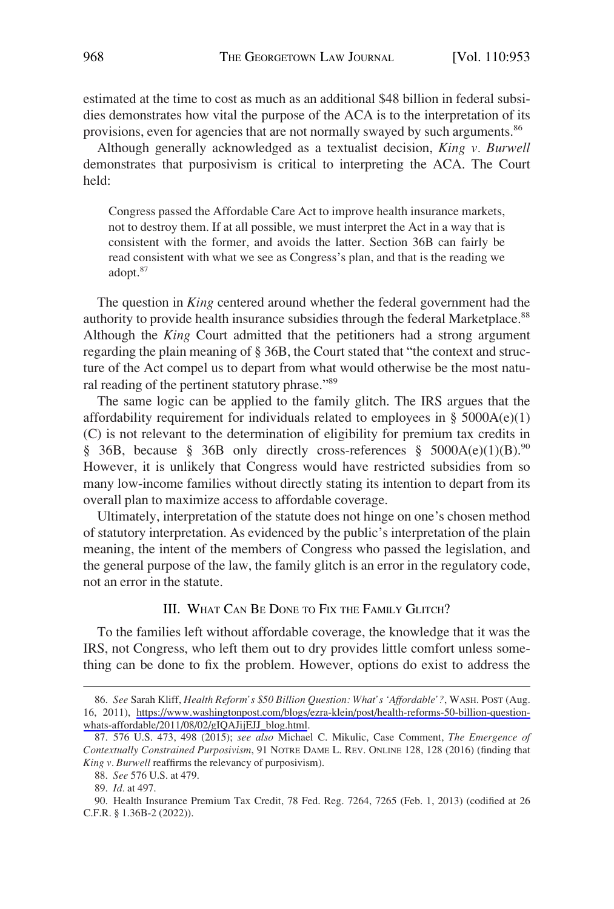<span id="page-15-0"></span>estimated at the time to cost as much as an additional \$48 billion in federal subsidies demonstrates how vital the purpose of the ACA is to the interpretation of its provisions, even for agencies that are not normally swayed by such arguments.<sup>86</sup>

Although generally acknowledged as a textualist decision, *King v. Burwell*  demonstrates that purposivism is critical to interpreting the ACA. The Court held:

Congress passed the Affordable Care Act to improve health insurance markets, not to destroy them. If at all possible, we must interpret the Act in a way that is consistent with the former, and avoids the latter. Section 36B can fairly be read consistent with what we see as Congress's plan, and that is the reading we adopt.<sup>87</sup>

The question in *King* centered around whether the federal government had the authority to provide health insurance subsidies through the federal Marketplace.<sup>88</sup> Although the *King* Court admitted that the petitioners had a strong argument regarding the plain meaning of § 36B, the Court stated that "the context and structure of the Act compel us to depart from what would otherwise be the most natural reading of the pertinent statutory phrase."89

The same logic can be applied to the family glitch. The IRS argues that the affordability requirement for individuals related to employees in  $\S$  5000A(e)(1) (C) is not relevant to the determination of eligibility for premium tax credits in § 36B, because § 36B only directly cross-references §  $5000A(e)(1)(B)$ .<sup>90</sup> However, it is unlikely that Congress would have restricted subsidies from so many low-income families without directly stating its intention to depart from its overall plan to maximize access to affordable coverage.

Ultimately, interpretation of the statute does not hinge on one's chosen method of statutory interpretation. As evidenced by the public's interpretation of the plain meaning, the intent of the members of Congress who passed the legislation, and the general purpose of the law, the family glitch is an error in the regulatory code, not an error in the statute.

## III. WHAT CAN BE DONE TO FIX THE FAMILY GLITCH?

To the families left without affordable coverage, the knowledge that it was the IRS, not Congress, who left them out to dry provides little comfort unless something can be done to fix the problem. However, options do exist to address the

*See* Sarah Kliff, *Health Reform's \$50 Billion Question: What's 'Affordable'?*, WASH. POST (Aug. 86. 16, 2011), [https://www.washingtonpost.com/blogs/ezra-klein/post/health-reforms-50-billion-question](https://www.washingtonpost.com/blogs/ezra-klein/post/health-reforms-50-billion-question-whats-affordable/2011/08/02/gIQAJijEJJ_blog.html)[whats-affordable/2011/08/02/gIQAJijEJJ\\_blog.html.](https://www.washingtonpost.com/blogs/ezra-klein/post/health-reforms-50-billion-question-whats-affordable/2011/08/02/gIQAJijEJJ_blog.html)

<sup>87. 576</sup> U.S. 473, 498 (2015); *see also* Michael C. Mikulic, Case Comment, *The Emergence of Contextually Constrained Purposivism*, 91 NOTRE DAME L. REV. ONLINE 128, 128 (2016) (finding that *King v. Burwell* reaffirms the relevancy of purposivism).

<sup>88.</sup> *See* 576 U.S. at 479.

<sup>89.</sup> *Id.* at 497.

<sup>90.</sup> Health Insurance Premium Tax Credit, 78 Fed. Reg. 7264, 7265 (Feb. 1, 2013) (codified at 26 C.F.R. § 1.36B-2 (2022)).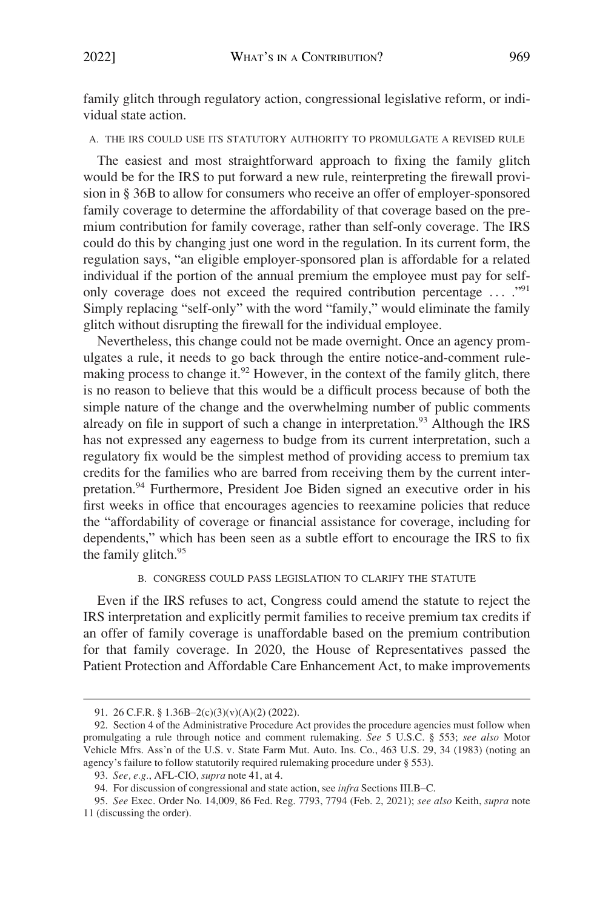<span id="page-16-0"></span>family glitch through regulatory action, congressional legislative reform, or individual state action.

## A. THE IRS COULD USE ITS STATUTORY AUTHORITY TO PROMULGATE A REVISED RULE

The easiest and most straightforward approach to fixing the family glitch would be for the IRS to put forward a new rule, reinterpreting the firewall provision in § 36B to allow for consumers who receive an offer of employer-sponsored family coverage to determine the affordability of that coverage based on the premium contribution for family coverage, rather than self-only coverage. The IRS could do this by changing just one word in the regulation. In its current form, the regulation says, "an eligible employer-sponsored plan is affordable for a related individual if the portion of the annual premium the employee must pay for selfonly coverage does not exceed the required contribution percentage ... ."<sup>91</sup> Simply replacing "self-only" with the word "family," would eliminate the family glitch without disrupting the firewall for the individual employee.

Nevertheless, this change could not be made overnight. Once an agency promulgates a rule, it needs to go back through the entire notice-and-comment rulemaking process to change it.<sup>92</sup> However, in the context of the family glitch, there is no reason to believe that this would be a difficult process because of both the simple nature of the change and the overwhelming number of public comments already on file in support of such a change in interpretation.<sup>93</sup> Although the IRS has not expressed any eagerness to budge from its current interpretation, such a regulatory fix would be the simplest method of providing access to premium tax credits for the families who are barred from receiving them by the current interpretation.94 Furthermore, President Joe Biden signed an executive order in his first weeks in office that encourages agencies to reexamine policies that reduce the "affordability of coverage or financial assistance for coverage, including for dependents," which has been seen as a subtle effort to encourage the IRS to fix the family glitch.<sup>95</sup>

## B. CONGRESS COULD PASS LEGISLATION TO CLARIFY THE STATUTE

Even if the IRS refuses to act, Congress could amend the statute to reject the IRS interpretation and explicitly permit families to receive premium tax credits if an offer of family coverage is unaffordable based on the premium contribution for that family coverage. In 2020, the House of Representatives passed the Patient Protection and Affordable Care Enhancement Act, to make improvements

<sup>91. 26</sup> C.F.R. § 1.36B–2(c)(3)(v)(A)(2) (2022).

<sup>92.</sup> Section 4 of the Administrative Procedure Act provides the procedure agencies must follow when promulgating a rule through notice and comment rulemaking. *See* 5 U.S.C. § 553; *see also* Motor Vehicle Mfrs. Ass'n of the U.S. v. State Farm Mut. Auto. Ins. Co., 463 U.S. 29, 34 (1983) (noting an agency's failure to follow statutorily required rulemaking procedure under § 553).

<sup>93.</sup> *See, e.g.*, AFL-CIO, *supra* note 41, at 4.

<sup>94.</sup> For discussion of congressional and state action, see *infra* Sections III.B–C.

<sup>95.</sup> *See* Exec. Order No. 14,009, 86 Fed. Reg. 7793, 7794 (Feb. 2, 2021); *see also* Keith, *supra* note 11 (discussing the order).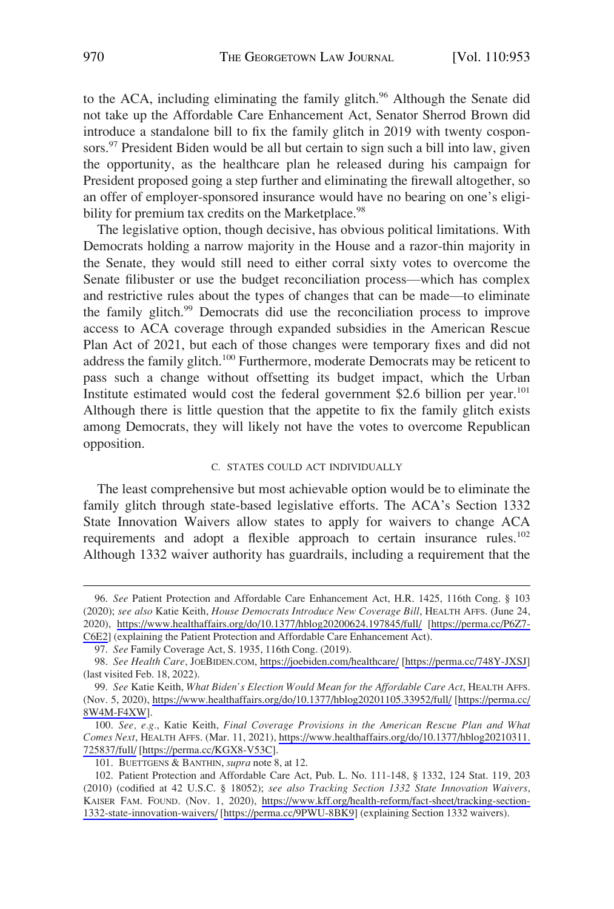<span id="page-17-0"></span>to the ACA, including eliminating the family glitch.<sup>96</sup> Although the Senate did not take up the Affordable Care Enhancement Act, Senator Sherrod Brown did introduce a standalone bill to fix the family glitch in 2019 with twenty cosponsors.<sup>97</sup> President Biden would be all but certain to sign such a bill into law, given the opportunity, as the healthcare plan he released during his campaign for President proposed going a step further and eliminating the firewall altogether, so an offer of employer-sponsored insurance would have no bearing on one's eligibility for premium tax credits on the Marketplace.<sup>98</sup>

The legislative option, though decisive, has obvious political limitations. With Democrats holding a narrow majority in the House and a razor-thin majority in the Senate, they would still need to either corral sixty votes to overcome the Senate filibuster or use the budget reconciliation process—which has complex and restrictive rules about the types of changes that can be made—to eliminate the family glitch.<sup>99</sup> Democrats did use the reconciliation process to improve access to ACA coverage through expanded subsidies in the American Rescue Plan Act of 2021, but each of those changes were temporary fixes and did not address the family glitch.<sup>100</sup> Furthermore, moderate Democrats may be reticent to pass such a change without offsetting its budget impact, which the Urban Institute estimated would cost the federal government \$2.6 billion per year.<sup>101</sup> Although there is little question that the appetite to fix the family glitch exists among Democrats, they will likely not have the votes to overcome Republican opposition.

#### C. STATES COULD ACT INDIVIDUALLY

The least comprehensive but most achievable option would be to eliminate the family glitch through state-based legislative efforts. The ACA's Section 1332 State Innovation Waivers allow states to apply for waivers to change ACA requirements and adopt a flexible approach to certain insurance rules.<sup>102</sup> Although 1332 waiver authority has guardrails, including a requirement that the

*See* Patient Protection and Affordable Care Enhancement Act, H.R. 1425, 116th Cong. § 103 96. (2020); *see also* Katie Keith, *House Democrats Introduce New Coverage Bill*, HEALTH AFFS. (June 24, 2020), <https://www.healthaffairs.org/do/10.1377/hblog20200624.197845/full/>[\[https://perma.cc/P6Z7-](https://perma.cc/P6Z7-C6E2)  [C6E2](https://perma.cc/P6Z7-C6E2)] (explaining the Patient Protection and Affordable Care Enhancement Act).

<sup>97.</sup> *See* Family Coverage Act, S. 1935, 116th Cong. (2019).

*See Health Care*, JOEBIDEN.COM, <https://joebiden.com/healthcare/>[<https://perma.cc/748Y-JXSJ>] 98.

<sup>(</sup>last visited Feb. 18, 2022).

*See* Katie Keith, *What Biden's Election Would Mean for the Affordable Care Act*, HEALTH AFFS. 99. (Nov. 5, 2020), <https://www.healthaffairs.org/do/10.1377/hblog20201105.33952/full/>[[https://perma.cc/](https://perma.cc/8W4M-F4XW)  [8W4M-F4XW\]](https://perma.cc/8W4M-F4XW).

*See, e.g.*, Katie Keith, *Final Coverage Provisions in the American Rescue Plan and What*  100. *Comes Next*, HEALTH AFFS. (Mar. 11, 2021), [https://www.healthaffairs.org/do/10.1377/hblog20210311.](https://www.healthaffairs.org/do/10.1377/hblog20210311.725837/full/)  [725837/full/](https://www.healthaffairs.org/do/10.1377/hblog20210311.725837/full/) [[https://perma.cc/KGX8-V53C\]](https://perma.cc/KGX8-V53C).

<sup>101.</sup> BUETTGENS & BANTHIN, *supra* note 8, at 12.

<sup>102.</sup> Patient Protection and Affordable Care Act, Pub. L. No. 111-148, § 1332, 124 Stat. 119, 203 (2010) (codified at 42 U.S.C. § 18052); *see also Tracking Section 1332 State Innovation Waivers*, KAISER FAM. FOUND. (Nov. 1, 2020), [https://www.kff.org/health-reform/fact-sheet/tracking-section-](https://www.kff.org/health-reform/fact-sheet/tracking-section-1332-state-innovation-waivers/)[1332-state-innovation-waivers/](https://www.kff.org/health-reform/fact-sheet/tracking-section-1332-state-innovation-waivers/) [\[https://perma.cc/9PWU-8BK9](https://perma.cc/9PWU-8BK9)] (explaining Section 1332 waivers).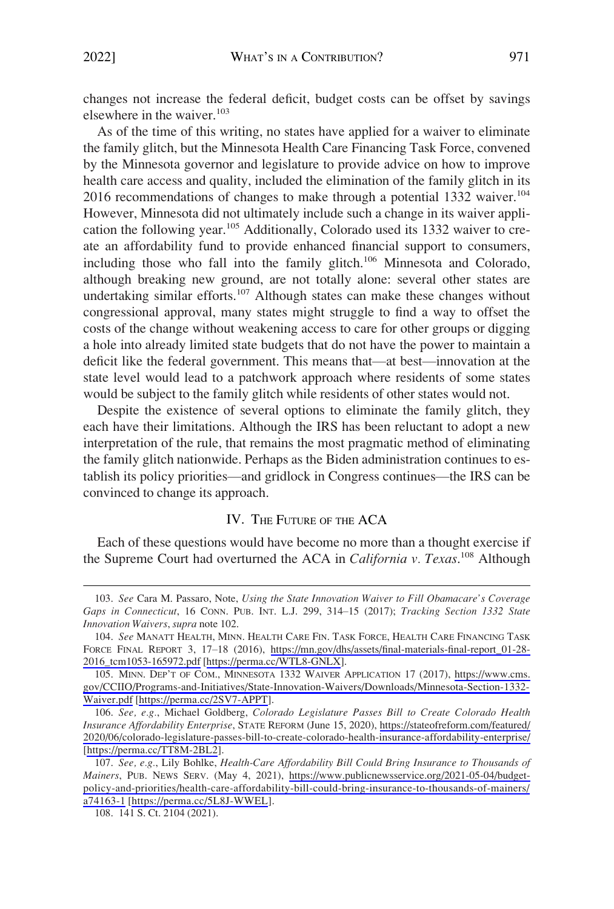<span id="page-18-0"></span>changes not increase the federal deficit, budget costs can be offset by savings elsewhere in the waiver.<sup>103</sup>

As of the time of this writing, no states have applied for a waiver to eliminate the family glitch, but the Minnesota Health Care Financing Task Force, convened by the Minnesota governor and legislature to provide advice on how to improve health care access and quality, included the elimination of the family glitch in its  $2016$  recommendations of changes to make through a potential 1332 waiver.<sup>104</sup> However, Minnesota did not ultimately include such a change in its waiver application the following year.<sup>105</sup> Additionally, Colorado used its 1332 waiver to create an affordability fund to provide enhanced financial support to consumers, including those who fall into the family glitch.<sup>106</sup> Minnesota and Colorado, although breaking new ground, are not totally alone: several other states are undertaking similar efforts.<sup>107</sup> Although states can make these changes without congressional approval, many states might struggle to find a way to offset the costs of the change without weakening access to care for other groups or digging a hole into already limited state budgets that do not have the power to maintain a deficit like the federal government. This means that—at best—innovation at the state level would lead to a patchwork approach where residents of some states would be subject to the family glitch while residents of other states would not.

Despite the existence of several options to eliminate the family glitch, they each have their limitations. Although the IRS has been reluctant to adopt a new interpretation of the rule, that remains the most pragmatic method of eliminating the family glitch nationwide. Perhaps as the Biden administration continues to establish its policy priorities—and gridlock in Congress continues—the IRS can be convinced to change its approach.

## IV. THE FUTURE OF THE ACA

Each of these questions would have become no more than a thought exercise if the Supreme Court had overturned the ACA in *California v. Texas*. 108 Although

<sup>103.</sup> *See* Cara M. Passaro, Note, *Using the State Innovation Waiver to Fill Obamacare's Coverage Gaps in Connecticut*, 16 CONN. PUB. INT. L.J. 299, 314–15 (2017); *Tracking Section 1332 State Innovation Waivers*, *supra* note 102.

<sup>104.</sup> See MANATT HEALTH, MINN. HEALTH CARE FIN. TASK FORCE, HEALTH CARE FINANCING TASK FORCE FINAL REPORT 3, 17–18 (2016), [https://mn.gov/dhs/assets/final-materials-final-report\\_01-28-](https://mn.gov/dhs/assets/final-materials-final-report_01-28-2016_tcm1053-165972.pdf)  [2016\\_tcm1053-165972.pdf](https://mn.gov/dhs/assets/final-materials-final-report_01-28-2016_tcm1053-165972.pdf) [[https://perma.cc/WTL8-GNLX\]](https://perma.cc/WTL8-GNLX).

<sup>105.</sup> MINN. DEP'T OF COM., MINNESOTA 1332 WAIVER APPLICATION 17 (2017), https://www.cms. [gov/CCIIO/Programs-and-Initiatives/State-Innovation-Waivers/Downloads/Minnesota-Section-1332-](https://www.cms.gov/CCIIO/Programs-and-Initiatives/State-Innovation-Waivers/Downloads/Minnesota-Section-1332-Waiver.pdf) [Waiver.pdf](https://www.cms.gov/CCIIO/Programs-and-Initiatives/State-Innovation-Waivers/Downloads/Minnesota-Section-1332-Waiver.pdf) [\[https://perma.cc/2SV7-APPT](https://perma.cc/2SV7-APPT)].

*See, e.g.*, Michael Goldberg, *Colorado Legislature Passes Bill to Create Colorado Health*  106. *Insurance Affordability Enterprise*, STATE REFORM (June 15, 2020), [https://stateofreform.com/featured/](https://stateofreform.com/featured/2020/06/colorado-legislature-passes-bill-to-create-colorado-health-insurance-affordability-enterprise/)  [2020/06/colorado-legislature-passes-bill-to-create-colorado-health-insurance-affordability-enterprise/](https://stateofreform.com/featured/2020/06/colorado-legislature-passes-bill-to-create-colorado-health-insurance-affordability-enterprise/)  [[https://perma.cc/TT8M-2BL2\]](https://perma.cc/TT8M-2BL2).

*See, e.g.*, Lily Bohlke, *Health-Care Affordability Bill Could Bring Insurance to Thousands of*  107. *Mainers*, PUB. NEWS SERV. (May 4, 2021), [https://www.publicnewsservice.org/2021-05-04/budget](https://www.publicnewsservice.org/2021-05-04/budget-policy-and-priorities/health-care-affordability-bill-could-bring-insurance-to-thousands-of-mainers/a74163-1)[policy-and-priorities/health-care-affordability-bill-could-bring-insurance-to-thousands-of-mainers/](https://www.publicnewsservice.org/2021-05-04/budget-policy-and-priorities/health-care-affordability-bill-could-bring-insurance-to-thousands-of-mainers/a74163-1)  [a74163-1](https://www.publicnewsservice.org/2021-05-04/budget-policy-and-priorities/health-care-affordability-bill-could-bring-insurance-to-thousands-of-mainers/a74163-1) [\[https://perma.cc/5L8J-WWEL](https://perma.cc/5L8J-WWEL)].

<sup>108. 141</sup> S. Ct. 2104 (2021).